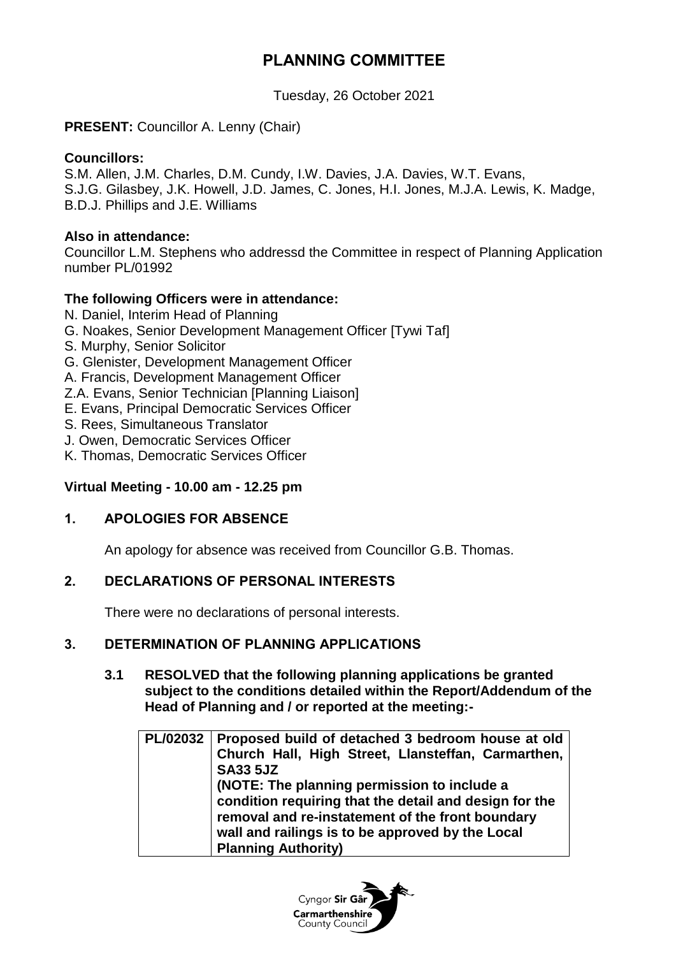## **PLANNING COMMITTEE**

Tuesday, 26 October 2021

### **PRESENT:** Councillor A. Lenny (Chair)

#### **Councillors:**

S.M. Allen, J.M. Charles, D.M. Cundy, I.W. Davies, J.A. Davies, W.T. Evans, S.J.G. Gilasbey, J.K. Howell, J.D. James, C. Jones, H.I. Jones, M.J.A. Lewis, K. Madge, B.D.J. Phillips and J.E. Williams

#### **Also in attendance:**

Councillor L.M. Stephens who addressd the Committee in respect of Planning Application number PL/01992

#### **The following Officers were in attendance:**

- N. Daniel, Interim Head of Planning
- G. Noakes, Senior Development Management Officer [Tywi Taf]
- S. Murphy, Senior Solicitor
- G. Glenister, Development Management Officer
- A. Francis, Development Management Officer
- Z.A. Evans, Senior Technician [Planning Liaison]
- E. Evans, Principal Democratic Services Officer
- S. Rees, Simultaneous Translator
- J. Owen, Democratic Services Officer
- K. Thomas, Democratic Services Officer

#### **Virtual Meeting - 10.00 am - 12.25 pm**

#### **1. APOLOGIES FOR ABSENCE**

An apology for absence was received from Councillor G.B. Thomas.

#### **2. DECLARATIONS OF PERSONAL INTERESTS**

There were no declarations of personal interests.

#### **3. DETERMINATION OF PLANNING APPLICATIONS**

**3.1 RESOLVED that the following planning applications be granted subject to the conditions detailed within the Report/Addendum of the Head of Planning and / or reported at the meeting:-**

| PL/02032   Proposed build of detached 3 bedroom house at old |
|--------------------------------------------------------------|
| Church Hall, High Street, Llansteffan, Carmarthen,           |
| <b>SA33 5JZ</b>                                              |
| (NOTE: The planning permission to include a                  |
| condition requiring that the detail and design for the       |
| removal and re-instatement of the front boundary             |
| wall and railings is to be approved by the Local             |
| <b>Planning Authority)</b>                                   |